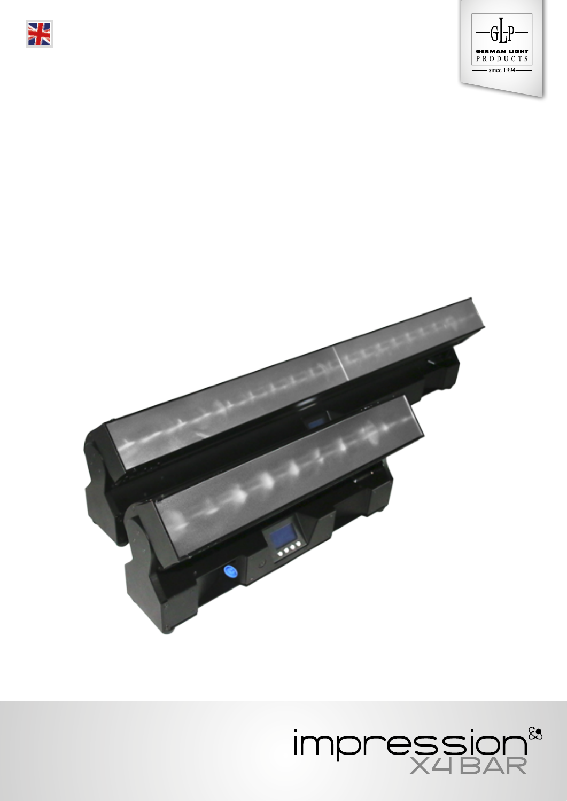